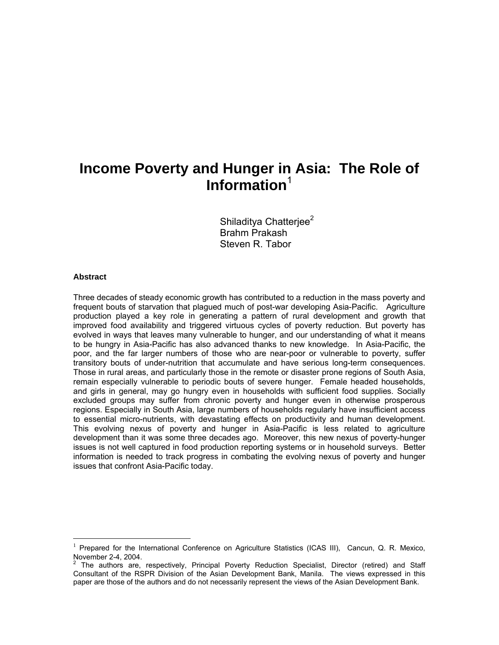# **Income Poverty and Hunger in Asia: The Role of Information**<sup>1</sup>

Shiladitya Chatteriee<sup>2</sup> Brahm Prakash Steven R. Tabor

#### **Abstract**

 $\overline{a}$ 

Three decades of steady economic growth has contributed to a reduction in the mass poverty and frequent bouts of starvation that plagued much of post-war developing Asia-Pacific. Agriculture production played a key role in generating a pattern of rural development and growth that improved food availability and triggered virtuous cycles of poverty reduction. But poverty has evolved in ways that leaves many vulnerable to hunger, and our understanding of what it means to be hungry in Asia-Pacific has also advanced thanks to new knowledge. In Asia-Pacific, the poor, and the far larger numbers of those who are near-poor or vulnerable to poverty, suffer transitory bouts of under-nutrition that accumulate and have serious long-term consequences. Those in rural areas, and particularly those in the remote or disaster prone regions of South Asia, remain especially vulnerable to periodic bouts of severe hunger. Female headed households, and girls in general, may go hungry even in households with sufficient food supplies. Socially excluded groups may suffer from chronic poverty and hunger even in otherwise prosperous regions. Especially in South Asia, large numbers of households regularly have insufficient access to essential micro-nutrients, with devastating effects on productivity and human development. This evolving nexus of poverty and hunger in Asia-Pacific is less related to agriculture development than it was some three decades ago. Moreover, this new nexus of poverty-hunger issues is not well captured in food production reporting systems or in household surveys. Better information is needed to track progress in combating the evolving nexus of poverty and hunger issues that confront Asia-Pacific today.

<sup>&</sup>lt;sup>1</sup> Prepared for the International Conference on Agriculture Statistics (ICAS III), Cancun, Q. R. Mexico,

November 2-4, 2004.<br><sup>2</sup> The authors are, respectively, Principal Poverty Reduction Specialist, Director (retired) and Staff Consultant of the RSPR Division of the Asian Development Bank, Manila. The views expressed in this paper are those of the authors and do not necessarily represent the views of the Asian Development Bank.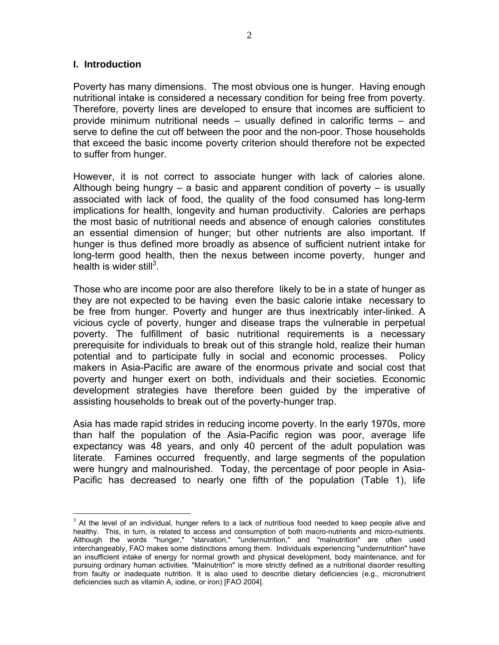#### **I. Introduction**

 $\overline{a}$ 

Poverty has many dimensions. The most obvious one is hunger. Having enough nutritional intake is considered a necessary condition for being free from poverty. Therefore, poverty lines are developed to ensure that incomes are sufficient to provide minimum nutritional needs – usually defined in calorific terms – and serve to define the cut off between the poor and the non-poor. Those households that exceed the basic income poverty criterion should therefore not be expected to suffer from hunger.

However, it is not correct to associate hunger with lack of calories alone. Although being hungry – a basic and apparent condition of poverty – is usually associated with lack of food, the quality of the food consumed has long-term implications for health, longevity and human productivity. Calories are perhaps the most basic of nutritional needs and absence of enough calories constitutes an essential dimension of hunger; but other nutrients are also important. If hunger is thus defined more broadly as absence of sufficient nutrient intake for long-term good health, then the nexus between income poverty, hunger and health is wider still $3$ .

Those who are income poor are also therefore likely to be in a state of hunger as they are not expected to be having even the basic calorie intake necessary to be free from hunger. Poverty and hunger are thus inextricably inter-linked. A vicious cycle of poverty, hunger and disease traps the vulnerable in perpetual poverty. The fulfillment of basic nutritional requirements is a necessary prerequisite for individuals to break out of this strangle hold, realize their human potential and to participate fully in social and economic processes. Policy makers in Asia-Pacific are aware of the enormous private and social cost that poverty and hunger exert on both, individuals and their societies. Economic development strategies have therefore been guided by the imperative of assisting households to break out of the poverty-hunger trap.

Asia has made rapid strides in reducing income poverty. In the early 1970s, more than half the population of the Asia-Pacific region was poor, average life expectancy was 48 years, and only 40 percent of the adult population was literate. Famines occurred frequently, and large segments of the population were hungry and malnourished. Today, the percentage of poor people in Asia-Pacific has decreased to nearly one fifth of the population (Table 1), life

 $3$  At the level of an individual, hunger refers to a lack of nutritious food needed to keep people alive and healthy. This, in turn, is related to access and consumption of both macro-nutrients and micro-nutrients. Although the words "hunger," "starvation," "undernutrition," and "malnutrition" are often used interchangeably, FAO makes some distinctions among them. Individuals experiencing "undernutrition" have an insufficient intake of energy for normal growth and physical development, body maintenance, and for pursuing ordinary human activities. "Malnutrition" is more strictly defined as a nutritional disorder resulting from faulty or inadequate nutrition. It is also used to describe dietary deficiencies (e.g., micronutrient deficiencies such as vitamin A, iodine, or iron) [FAO 2004].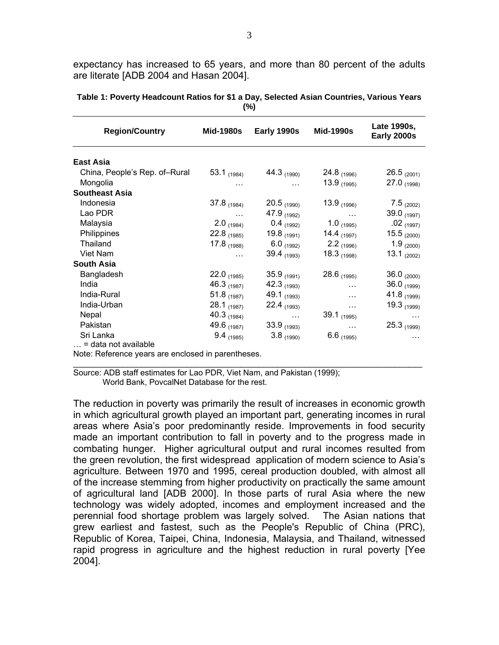expectancy has increased to 65 years, and more than 80 percent of the adults are literate [ADB 2004 and Hasan 2004].

| <b>Region/Country</b>         | Mid-1980s     | Early 1990s     | <b>Mid-1990s</b> | Late 1990s,<br>Early 2000s |
|-------------------------------|---------------|-----------------|------------------|----------------------------|
|                               |               |                 |                  |                            |
| East Asia                     |               |                 |                  |                            |
| China, People's Rep. of-Rural | 53.1 $(1984)$ | 44.3 $(1990)$   | 24.8 $(1996)$    | $26.5_{(2001)}$            |
| Mongolia                      | .             | $\cdots$        | 13.9 $(1995)$    | $27.0_{(1998)}$            |
| <b>Southeast Asia</b>         |               |                 |                  |                            |
| Indonesia                     | $37.8$ (1984) | $20.5$ (1990)   | 13.9 $(1996)$    | $7.5_{(2002)}$             |
| Lao PDR                       | $\cdots$      | 47.9 $(1992)$   | $\cdots$         | 39.0 (1997)                |
| Malaysia                      | $2.0$ (1984)  | $0.4$ (1992)    | $1.0_{(1995)}$   | $.02$ (1997)               |
| Philippines                   | 22.8 $(1985)$ | 19.8 $(1991)$   | 14.4 $(1997)$    | $15.5_{(2000)}$            |
| Thailand                      | 17.8 $(1988)$ | $6.0_{(1992)}$  | $2.2_{(1996)}$   | 1.9 $(2000)$               |
| Viet Nam                      | .             | 39.4 $(1993)$   | 18.3 $(1998)$    | 13.1 $(2002)$              |
| <b>South Asia</b>             |               |                 |                  |                            |
| Bangladesh                    | 22.0 $(1985)$ | $35.9_{(1991)}$ | 28.6 $(1995)$    | 36.0 $(2000)$              |
| India                         | 46.3 $(1987)$ | 42.3 $(1993)$   | $\cdots$         | $36.0_{(1999)}$            |
| India-Rural                   | 51.8 $(1987)$ | 49.1 (1993)     | $\cdots$         | 41.8 (1999)                |
| India-Urban                   | $28.1$ (1987) | 22.4 $(1993)$   | $\cdots$         | 19.3 $(1999)$              |
| Nepal                         | 40.3 $(1984)$ | $\cdots$        | 39.1 $(1995)$    | $\cdots$                   |
| Pakistan                      | 49.6 (1987)   | $33.9_{(1993)}$ | $\ddotsc$        | $25.3_{(1999)}$            |
| Sri Lanka                     | $9.4$ (1985)  | $3.8_{(1990)}$  | $6.6$ (1995)     | $\cdots$                   |
| $\ldots$ = data not available |               |                 |                  |                            |

**Table 1: Poverty Headcount Ratios for \$1 a Day, Selected Asian Countries, Various Years (%)** 

Note: Reference years are enclosed in parentheses.

Source: ADB staff estimates for Lao PDR, Viet Nam, and Pakistan (1999); World Bank, PovcalNet Database for the rest.

The reduction in poverty was primarily the result of increases in economic growth in which agricultural growth played an important part, generating incomes in rural areas where Asia's poor predominantly reside. Improvements in food security made an important contribution to fall in poverty and to the progress made in combating hunger. Higher agricultural output and rural incomes resulted from the green revolution, the first widespread application of modern science to Asia's agriculture. Between 1970 and 1995, cereal production doubled, with almost all of the increase stemming from higher productivity on practically the same amount of agricultural land [ADB 2000]. In those parts of rural Asia where the new technology was widely adopted, incomes and employment increased and the perennial food shortage problem was largely solved. The Asian nations that grew earliest and fastest, such as the People's Republic of China (PRC), Republic of Korea, Taipei, China, Indonesia, Malaysia, and Thailand, witnessed rapid progress in agriculture and the highest reduction in rural poverty [Yee 2004].

 $\mathcal{L}_\text{max}$  , and the set of the set of the set of the set of the set of the set of the set of the set of the set of the set of the set of the set of the set of the set of the set of the set of the set of the set of the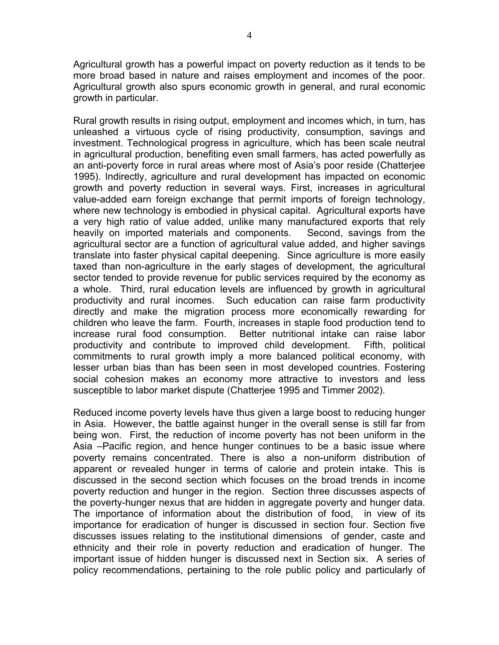Agricultural growth has a powerful impact on poverty reduction as it tends to be more broad based in nature and raises employment and incomes of the poor. Agricultural growth also spurs economic growth in general, and rural economic growth in particular.

Rural growth results in rising output, employment and incomes which, in turn, has unleashed a virtuous cycle of rising productivity, consumption, savings and investment. Technological progress in agriculture, which has been scale neutral in agricultural production, benefiting even small farmers, has acted powerfully as an anti-poverty force in rural areas where most of Asia's poor reside (Chatterjee 1995). Indirectly, agriculture and rural development has impacted on economic growth and poverty reduction in several ways. First, increases in agricultural value-added earn foreign exchange that permit imports of foreign technology, where new technology is embodied in physical capital. Agricultural exports have a very high ratio of value added, unlike many manufactured exports that rely heavily on imported materials and components. Second, savings from the agricultural sector are a function of agricultural value added, and higher savings translate into faster physical capital deepening. Since agriculture is more easily taxed than non-agriculture in the early stages of development, the agricultural sector tended to provide revenue for public services required by the economy as a whole. Third, rural education levels are influenced by growth in agricultural productivity and rural incomes. Such education can raise farm productivity directly and make the migration process more economically rewarding for children who leave the farm. Fourth, increases in staple food production tend to increase rural food consumption. Better nutritional intake can raise labor productivity and contribute to improved child development. Fifth, political commitments to rural growth imply a more balanced political economy, with lesser urban bias than has been seen in most developed countries. Fostering social cohesion makes an economy more attractive to investors and less susceptible to labor market dispute (Chatterjee 1995 and Timmer 2002).

Reduced income poverty levels have thus given a large boost to reducing hunger in Asia. However, the battle against hunger in the overall sense is still far from being won. First, the reduction of income poverty has not been uniform in the Asia –Pacific region, and hence hunger continues to be a basic issue where poverty remains concentrated. There is also a non-uniform distribution of apparent or revealed hunger in terms of calorie and protein intake. This is discussed in the second section which focuses on the broad trends in income poverty reduction and hunger in the region. Section three discusses aspects of the poverty-hunger nexus that are hidden in aggregate poverty and hunger data. The importance of information about the distribution of food, in view of its importance for eradication of hunger is discussed in section four. Section five discusses issues relating to the institutional dimensions of gender, caste and ethnicity and their role in poverty reduction and eradication of hunger. The important issue of hidden hunger is discussed next in Section six. A series of policy recommendations, pertaining to the role public policy and particularly of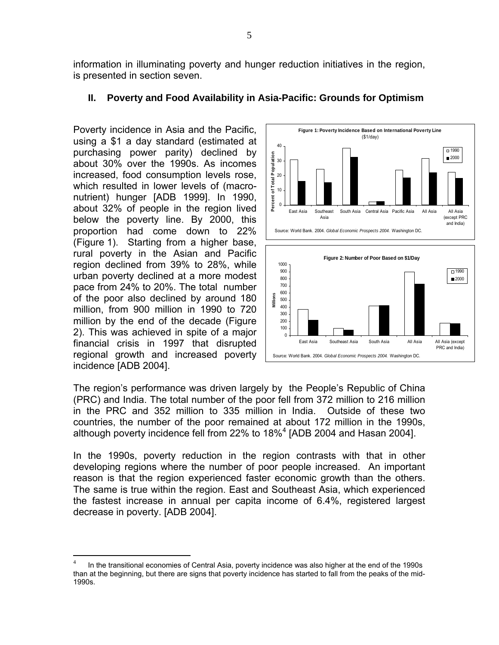information in illuminating poverty and hunger reduction initiatives in the region, is presented in section seven.

#### **II. Poverty and Food Availability in Asia-Pacific: Grounds for Optimism**

Poverty incidence in Asia and the Pacific, using a \$1 a day standard (estimated at purchasing power parity) declined by about 30% over the 1990s. As incomes increased, food consumption levels rose, which resulted in lower levels of (macronutrient) hunger [ADB 1999]. In 1990, about 32% of people in the region lived below the poverty line. By 2000, this proportion had come down to 22% (Figure 1). Starting from a higher base, rural poverty in the Asian and Pacific region declined from 39% to 28%, while urban poverty declined at a more modest pace from 24% to 20%. The total number of the poor also declined by around 180 million, from 900 million in 1990 to 720 million by the end of the decade (Figure 2). This was achieved in spite of a major financial crisis in 1997 that disrupted regional growth and increased poverty incidence [ADB 2004].

 $\overline{a}$ 



The region's performance was driven largely by the People's Republic of China (PRC) and India. The total number of the poor fell from 372 million to 216 million in the PRC and 352 million to 335 million in India. Outside of these two countries, the number of the poor remained at about 172 million in the 1990s, although poverty incidence fell from 22% to 18%<sup>4</sup> [ADB 2004 and Hasan 2004].

In the 1990s, poverty reduction in the region contrasts with that in other developing regions where the number of poor people increased. An important reason is that the region experienced faster economic growth than the others. The same is true within the region. East and Southeast Asia, which experienced the fastest increase in annual per capita income of 6.4%, registered largest decrease in poverty. [ADB 2004].

In the transitional economies of Central Asia, poverty incidence was also higher at the end of the 1990s than at the beginning, but there are signs that poverty incidence has started to fall from the peaks of the mid-1990s.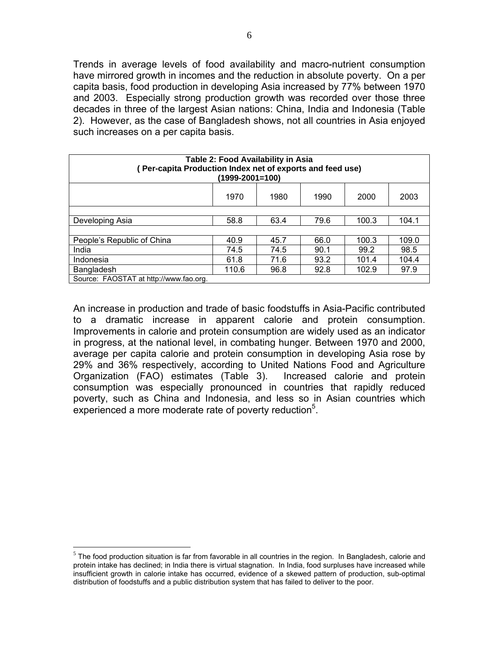Trends in average levels of food availability and macro-nutrient consumption have mirrored growth in incomes and the reduction in absolute poverty. On a per capita basis, food production in developing Asia increased by 77% between 1970 and 2003. Especially strong production growth was recorded over those three decades in three of the largest Asian nations: China, India and Indonesia (Table 2). However, as the case of Bangladesh shows, not all countries in Asia enjoyed such increases on a per capita basis.

| Table 2: Food Availability in Asia<br>(Per-capita Production Index net of exports and feed use)<br>(1999-2001=100) |       |      |      |       |       |  |  |  |  |
|--------------------------------------------------------------------------------------------------------------------|-------|------|------|-------|-------|--|--|--|--|
| 2003<br>1970<br>1980<br>1990<br>2000                                                                               |       |      |      |       |       |  |  |  |  |
|                                                                                                                    |       |      |      |       |       |  |  |  |  |
| Developing Asia                                                                                                    | 58.8  | 63.4 | 79.6 | 100.3 | 104.1 |  |  |  |  |
|                                                                                                                    |       |      |      |       |       |  |  |  |  |
| People's Republic of China                                                                                         | 40.9  | 45.7 | 66.0 | 100.3 | 109.0 |  |  |  |  |
| India                                                                                                              | 74.5  | 74.5 | 90.1 | 99.2  | 98.5  |  |  |  |  |
| Indonesia                                                                                                          | 61.8  | 71.6 | 93.2 | 101.4 | 104.4 |  |  |  |  |
| Bangladesh                                                                                                         | 110.6 | 96.8 | 92.8 | 102.9 | 97.9  |  |  |  |  |
| Source: FAOSTAT at http://www.fao.org.                                                                             |       |      |      |       |       |  |  |  |  |

An increase in production and trade of basic foodstuffs in Asia-Pacific contributed to a dramatic increase in apparent calorie and protein consumption. Improvements in calorie and protein consumption are widely used as an indicator in progress, at the national level, in combating hunger. Between 1970 and 2000, average per capita calorie and protein consumption in developing Asia rose by 29% and 36% respectively, according to United Nations Food and Agriculture Organization (FAO) estimates (Table 3). Increased calorie and protein consumption was especially pronounced in countries that rapidly reduced poverty, such as China and Indonesia, and less so in Asian countries which experienced a more moderate rate of poverty reduction<sup>5</sup>.

 $\overline{a}$ 

 $<sup>5</sup>$  The food production situation is far from favorable in all countries in the region. In Bangladesh, calorie and</sup> protein intake has declined; in India there is virtual stagnation. In India, food surpluses have increased while insufficient growth in calorie intake has occurred, evidence of a skewed pattern of production, sub-optimal distribution of foodstuffs and a public distribution system that has failed to deliver to the poor.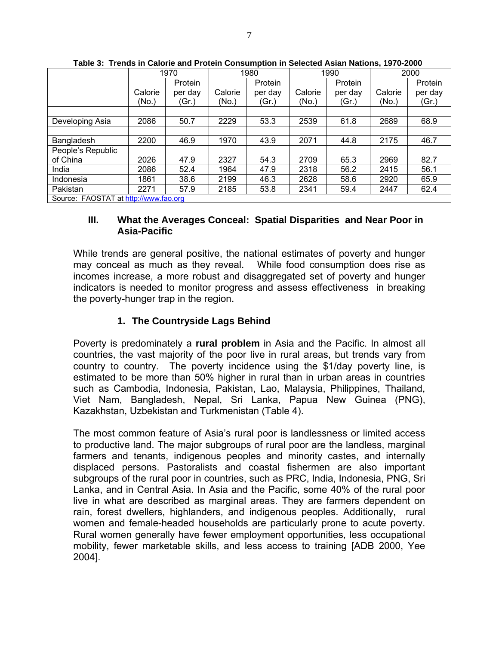|                                       |         | 1970    | 1980    |         | 1990    |         | 2000    |         |
|---------------------------------------|---------|---------|---------|---------|---------|---------|---------|---------|
|                                       |         | Protein |         | Protein |         | Protein |         | Protein |
|                                       | Calorie | per day | Calorie | per day | Calorie | per day | Calorie | per day |
|                                       | (No.)   | (Gr.)   | (No.)   | (Gr.)   | (No.)   | (Gr.)   | (No.)   | (Gr.)   |
|                                       |         |         |         |         |         |         |         |         |
| Developing Asia                       | 2086    | 50.7    | 2229    | 53.3    | 2539    | 61.8    | 2689    | 68.9    |
|                                       |         |         |         |         |         |         |         |         |
| Bangladesh                            | 2200    | 46.9    | 1970    | 43.9    | 2071    | 44.8    | 2175    | 46.7    |
| People's Republic                     |         |         |         |         |         |         |         |         |
| of China                              | 2026    | 47.9    | 2327    | 54.3    | 2709    | 65.3    | 2969    | 82.7    |
| India                                 | 2086    | 52.4    | 1964    | 47.9    | 2318    | 56.2    | 2415    | 56.1    |
| Indonesia                             | 1861    | 38.6    | 2199    | 46.3    | 2628    | 58.6    | 2920    | 65.9    |
| Pakistan                              | 2271    | 57.9    | 2185    | 53.8    | 2341    | 59.4    | 2447    | 62.4    |
| Source: FAOSTAT at http://www.fao.org |         |         |         |         |         |         |         |         |

**Table 3: Trends in Calorie and Protein Consumption in Selected Asian Nations, 1970-2000** 

#### **III. What the Averages Conceal: Spatial Disparities and Near Poor in Asia-Pacific**

While trends are general positive, the national estimates of poverty and hunger may conceal as much as they reveal. While food consumption does rise as incomes increase, a more robust and disaggregated set of poverty and hunger indicators is needed to monitor progress and assess effectiveness in breaking the poverty-hunger trap in the region.

## **1. The Countryside Lags Behind**

Poverty is predominately a **rural problem** in Asia and the Pacific. In almost all countries, the vast majority of the poor live in rural areas, but trends vary from country to country. The poverty incidence using the \$1/day poverty line, is estimated to be more than 50% higher in rural than in urban areas in countries such as Cambodia, Indonesia, Pakistan, Lao, Malaysia, Philippines, Thailand, Viet Nam, Bangladesh, Nepal, Sri Lanka, Papua New Guinea (PNG), Kazakhstan, Uzbekistan and Turkmenistan (Table 4).

The most common feature of Asia's rural poor is landlessness or limited access to productive land. The major subgroups of rural poor are the landless, marginal farmers and tenants, indigenous peoples and minority castes, and internally displaced persons. Pastoralists and coastal fishermen are also important subgroups of the rural poor in countries, such as PRC, India, Indonesia, PNG, Sri Lanka, and in Central Asia. In Asia and the Pacific, some 40% of the rural poor live in what are described as marginal areas. They are farmers dependent on rain, forest dwellers, highlanders, and indigenous peoples. Additionally, rural women and female-headed households are particularly prone to acute poverty. Rural women generally have fewer employment opportunities, less occupational mobility, fewer marketable skills, and less access to training [ADB 2000, Yee 2004].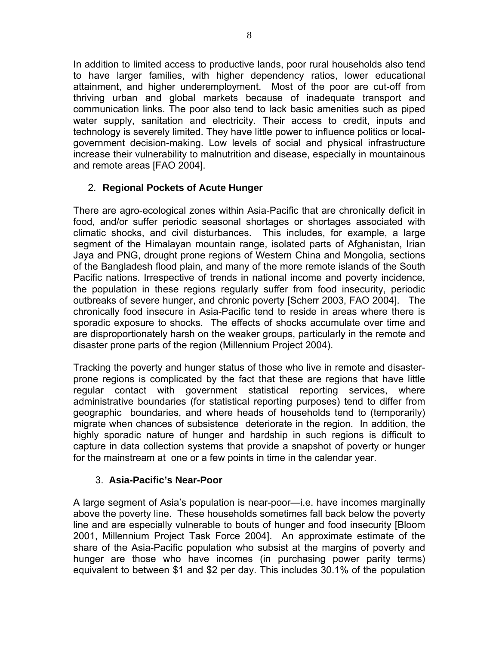In addition to limited access to productive lands, poor rural households also tend to have larger families, with higher dependency ratios, lower educational attainment, and higher underemployment. Most of the poor are cut-off from thriving urban and global markets because of inadequate transport and communication links. The poor also tend to lack basic amenities such as piped water supply, sanitation and electricity. Their access to credit, inputs and technology is severely limited. They have little power to influence politics or localgovernment decision-making. Low levels of social and physical infrastructure increase their vulnerability to malnutrition and disease, especially in mountainous and remote areas [FAO 2004].

### 2. **Regional Pockets of Acute Hunger**

There are agro-ecological zones within Asia-Pacific that are chronically deficit in food, and/or suffer periodic seasonal shortages or shortages associated with climatic shocks, and civil disturbances. This includes, for example, a large segment of the Himalayan mountain range, isolated parts of Afghanistan, Irian Jaya and PNG, drought prone regions of Western China and Mongolia, sections of the Bangladesh flood plain, and many of the more remote islands of the South Pacific nations. Irrespective of trends in national income and poverty incidence, the population in these regions regularly suffer from food insecurity, periodic outbreaks of severe hunger, and chronic poverty [Scherr 2003, FAO 2004]. The chronically food insecure in Asia-Pacific tend to reside in areas where there is sporadic exposure to shocks. The effects of shocks accumulate over time and are disproportionately harsh on the weaker groups, particularly in the remote and disaster prone parts of the region (Millennium Project 2004).

Tracking the poverty and hunger status of those who live in remote and disasterprone regions is complicated by the fact that these are regions that have little regular contact with government statistical reporting services, where administrative boundaries (for statistical reporting purposes) tend to differ from geographic boundaries, and where heads of households tend to (temporarily) migrate when chances of subsistence deteriorate in the region. In addition, the highly sporadic nature of hunger and hardship in such regions is difficult to capture in data collection systems that provide a snapshot of poverty or hunger for the mainstream at one or a few points in time in the calendar year.

### 3. **Asia-Pacific's Near-Poor**

A large segment of Asia's population is near-poor—i.e. have incomes marginally above the poverty line. These households sometimes fall back below the poverty line and are especially vulnerable to bouts of hunger and food insecurity [Bloom 2001, Millennium Project Task Force 2004]. An approximate estimate of the share of the Asia-Pacific population who subsist at the margins of poverty and hunger are those who have incomes (in purchasing power parity terms) equivalent to between \$1 and \$2 per day. This includes 30.1% of the population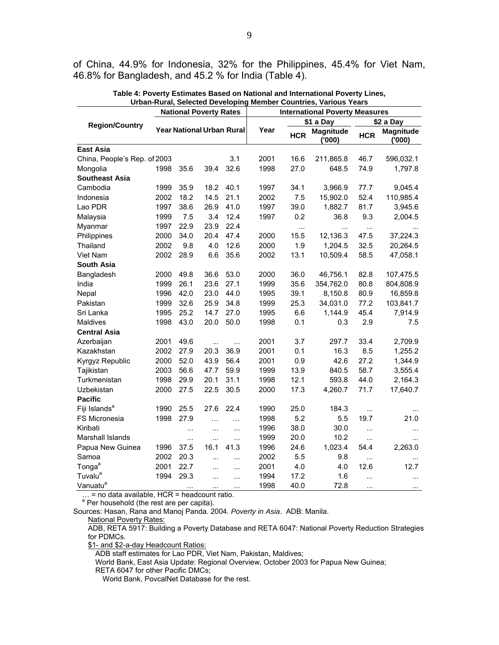of China, 44.9% for Indonesia, 32% for the Philippines, 45.4% for Viet Nam, 46.8% for Bangladesh, and 45.2 % for India (Table 4).

| <b>National Poverty Rates</b> |      |          | <b>International Poverty Measures</b> |                                  |      |                        |                     |            |                            |
|-------------------------------|------|----------|---------------------------------------|----------------------------------|------|------------------------|---------------------|------------|----------------------------|
|                               |      |          |                                       |                                  |      | \$1 a Day<br>\$2 a Day |                     |            |                            |
| <b>Region/Country</b>         |      |          |                                       | <b>Year National Urban Rural</b> | Year | <b>HCR</b>             | Magnitude<br>('000) | <b>HCR</b> | <b>Magnitude</b><br>('000' |
| <b>East Asia</b>              |      |          |                                       |                                  |      |                        |                     |            |                            |
| China, People's Rep. of 2003  |      |          |                                       | 3.1                              | 2001 | 16.6                   | 211,865.8           | 46.7       | 596,032.1                  |
| Mongolia                      | 1998 | 35.6     | 39.4                                  | 32.6                             | 1998 | 27.0                   | 648.5               | 74.9       | 1,797.8                    |
| <b>Southeast Asia</b>         |      |          |                                       |                                  |      |                        |                     |            |                            |
| Cambodia                      | 1999 | 35.9     | 18.2                                  | 40.1                             | 1997 | 34.1                   | 3,966.9             | 77.7       | 9,045.4                    |
| Indonesia                     | 2002 | 18.2     | 14.5                                  | 21.1                             | 2002 | 7.5                    | 15,902.0            | 52.4       | 110,985.4                  |
| Lao PDR                       | 1997 | 38.6     | 26.9                                  | 41.0                             | 1997 | 39.0                   | 1,882.7             | 81.7       | 3,945.6                    |
| Malaysia                      | 1999 | 7.5      | 3.4                                   | 12.4                             | 1997 | 0.2                    | 36.8                | 9.3        | 2,004.5                    |
| Myanmar                       | 1997 | 22.9     | 23.9                                  | 22.4                             |      | $\cdots$               | $\cdots$            | $\cdots$   | $\cdots$                   |
| Philippines                   | 2000 | 34.0     | 20.4                                  | 47.4                             | 2000 | 15.5                   | 12,136.3            | 47.5       | 37,224.3                   |
| Thailand                      | 2002 | 9.8      | 4.0                                   | 12.6                             | 2000 | 1.9                    | 1,204.5             | 32.5       | 20,264.5                   |
| Viet Nam                      | 2002 | 28.9     | 6.6                                   | 35.6                             | 2002 | 13.1                   | 10,509.4            | 58.5       | 47,058.1                   |
| South Asia                    |      |          |                                       |                                  |      |                        |                     |            |                            |
| Bangladesh                    | 2000 | 49.8     | 36.6                                  | 53.0                             | 2000 | 36.0                   | 46,756.1            | 82.8       | 107,475.5                  |
| India                         | 1999 | 26.1     | 23.6                                  | 27.1                             | 1999 | 35.6                   | 354,762.0           | 80.8       | 804,808.9                  |
| Nepal                         | 1996 | 42.0     | 23.0                                  | 44.0                             | 1995 | 39.1                   | 8,150.8             | 80.9       | 16,859.8                   |
| Pakistan                      | 1999 | 32.6     | 25.9                                  | 34.8                             | 1999 | 25.3                   | 34,031.0            | 77.2       | 103,841.7                  |
| Sri Lanka                     | 1995 | 25.2     | 14.7                                  | 27.0                             | 1995 | 6.6                    | 1,144.9             | 45.4       | 7,914.9                    |
| Maldives                      | 1998 | 43.0     | 20.0                                  | 50.0                             | 1998 | 0.1                    | 0.3                 | 2.9        | 7.5                        |
| <b>Central Asia</b>           |      |          |                                       |                                  |      |                        |                     |            |                            |
| Azerbaijan                    | 2001 | 49.6     | $\cdots$                              | $\ddotsc$                        | 2001 | 3.7                    | 297.7               | 33.4       | 2,709.9                    |
| Kazakhstan                    | 2002 | 27.9     | 20.3                                  | 36.9                             | 2001 | 0.1                    | 16.3                | 8.5        | 1,255.2                    |
| Kyrgyz Republic               | 2000 | 52.0     | 43.9                                  | 56.4                             | 2001 | 0.9                    | 42.6                | 27.2       | 1,344.9                    |
| Tajikistan                    | 2003 | 56.6     | 47.7                                  | 59.9                             | 1999 | 13.9                   | 840.5               | 58.7       | 3,555.4                    |
| Turkmenistan                  | 1998 | 29.9     | 20.1                                  | 31.1                             | 1998 | 12.1                   | 593.8               | 44.0       | 2,164.3                    |
| Uzbekistan                    | 2000 | 27.5     | 22.5                                  | 30.5                             | 2000 | 17.3                   | 4,260.7             | 71.7       | 17,640.7                   |
| <b>Pacific</b>                |      |          |                                       |                                  |      |                        |                     |            |                            |
| Fiji Islands <sup>a</sup>     | 1990 | 25.5     | 27.6                                  | 22.4                             | 1990 | 25.0                   | 184.3               | $\ddotsc$  |                            |
| FS Micronesia                 | 1998 | 27.9     | $\cdots$                              | $\cdots$                         | 1998 | 5.2                    | 5.5                 | 19.7       | 21.0                       |
| Kiribati                      |      |          | $\ddotsc$                             | $\ddotsc$                        | 1996 | 38.0                   | 30.0                | $\cdots$   | $\cdots$                   |
| Marshall Islands              |      |          | $\ddotsc$                             | $\ddotsc$                        | 1999 | 20.0                   | 10.2                | $\cdots$   | $\cdots$                   |
| Papua New Guinea              | 1996 | 37.5     | 16.1                                  | 41.3                             | 1996 | 24.6                   | 1,023.4             | 54.4       | 2,263.0                    |
| Samoa                         | 2002 | 20.3     |                                       |                                  | 2002 | 5.5                    | 9.8                 | $\ddots$   | $\sim$ $\sim$              |
| Tonga <sup>a</sup>            | 2001 | 22.7     | $\cdots$                              | $\ddotsc$                        | 2001 | 4.0                    | 4.0                 | 12.6       | 12.7                       |
| Tuvalu <sup>a</sup>           | 1994 | 29.3     | $\ddotsc$                             | $\ddotsc$                        | 1994 | 17.2                   | 1.6                 | $\cdots$   | $\ddotsc$                  |
| Vanuatu <sup>a</sup>          |      | $\cdots$ | $\sim$                                | $\ddotsc$                        | 1998 | 40.0                   | 72.8                | $\ddotsc$  | $\sim$ $\sim$              |

**Table 4: Poverty Estimates Based on National and International Poverty Lines, Urban-Rural, Selected Developing Member Countries, Various Years** 

… = no data available, HCR = headcount ratio.

<sup>a</sup> Per household (the rest are per capita).

Sources: Hasan, Rana and Manoj Panda. 2004*. Poverty in Asia*. ADB: Manila.

National Poverty Rates:

 ADB, RETA 5917: Building a Poverty Database and RETA 6047: National Poverty Reduction Strategies for PDMCs.

\$1- and \$2-a-day Headcount Ratios:

ADB staff estimates for Lao PDR, Viet Nam, Pakistan, Maldives;

World Bank, East Asia Update: Regional Overview, October 2003 for Papua New Guinea;

RETA 6047 for other Pacific DMCs;

World Bank, PovcalNet Database for the rest.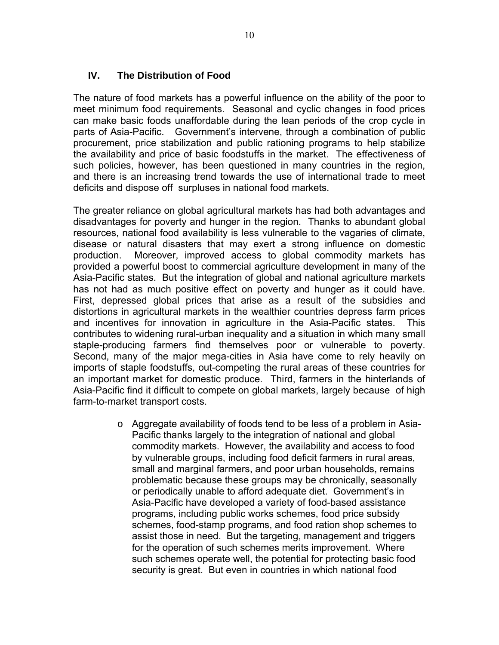#### **IV. The Distribution of Food**

The nature of food markets has a powerful influence on the ability of the poor to meet minimum food requirements. Seasonal and cyclic changes in food prices can make basic foods unaffordable during the lean periods of the crop cycle in parts of Asia-Pacific. Government's intervene, through a combination of public procurement, price stabilization and public rationing programs to help stabilize the availability and price of basic foodstuffs in the market. The effectiveness of such policies, however, has been questioned in many countries in the region, and there is an increasing trend towards the use of international trade to meet deficits and dispose off surpluses in national food markets.

The greater reliance on global agricultural markets has had both advantages and disadvantages for poverty and hunger in the region. Thanks to abundant global resources, national food availability is less vulnerable to the vagaries of climate, disease or natural disasters that may exert a strong influence on domestic production. Moreover, improved access to global commodity markets has provided a powerful boost to commercial agriculture development in many of the Asia-Pacific states. But the integration of global and national agriculture markets has not had as much positive effect on poverty and hunger as it could have. First, depressed global prices that arise as a result of the subsidies and distortions in agricultural markets in the wealthier countries depress farm prices and incentives for innovation in agriculture in the Asia-Pacific states. This contributes to widening rural-urban inequality and a situation in which many small staple-producing farmers find themselves poor or vulnerable to poverty. Second, many of the major mega-cities in Asia have come to rely heavily on imports of staple foodstuffs, out-competing the rural areas of these countries for an important market for domestic produce. Third, farmers in the hinterlands of Asia-Pacific find it difficult to compete on global markets, largely because of high farm-to-market transport costs.

> o Aggregate availability of foods tend to be less of a problem in Asia-Pacific thanks largely to the integration of national and global commodity markets. However, the availability and access to food by vulnerable groups, including food deficit farmers in rural areas, small and marginal farmers, and poor urban households, remains problematic because these groups may be chronically, seasonally or periodically unable to afford adequate diet. Government's in Asia-Pacific have developed a variety of food-based assistance programs, including public works schemes, food price subsidy schemes, food-stamp programs, and food ration shop schemes to assist those in need. But the targeting, management and triggers for the operation of such schemes merits improvement. Where such schemes operate well, the potential for protecting basic food security is great. But even in countries in which national food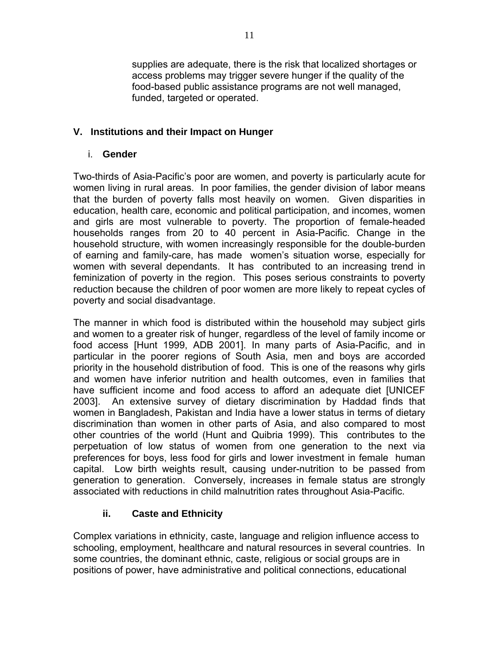supplies are adequate, there is the risk that localized shortages or access problems may trigger severe hunger if the quality of the food-based public assistance programs are not well managed, funded, targeted or operated.

#### **V. Institutions and their Impact on Hunger**

#### i. **Gender**

Two-thirds of Asia-Pacific's poor are women, and poverty is particularly acute for women living in rural areas. In poor families, the gender division of labor means that the burden of poverty falls most heavily on women. Given disparities in education, health care, economic and political participation, and incomes, women and girls are most vulnerable to poverty. The proportion of female-headed households ranges from 20 to 40 percent in Asia-Pacific. Change in the household structure, with women increasingly responsible for the double-burden of earning and family-care, has made women's situation worse, especially for women with several dependants. It has contributed to an increasing trend in feminization of poverty in the region. This poses serious constraints to poverty reduction because the children of poor women are more likely to repeat cycles of poverty and social disadvantage.

The manner in which food is distributed within the household may subject girls and women to a greater risk of hunger, regardless of the level of family income or food access [Hunt 1999, ADB 2001]. In many parts of Asia-Pacific, and in particular in the poorer regions of South Asia, men and boys are accorded priority in the household distribution of food. This is one of the reasons why girls and women have inferior nutrition and health outcomes, even in families that have sufficient income and food access to afford an adequate diet [UNICEF 2003]. An extensive survey of dietary discrimination by Haddad finds that women in Bangladesh, Pakistan and India have a lower status in terms of dietary discrimination than women in other parts of Asia, and also compared to most other countries of the world (Hunt and Quibria 1999). This contributes to the perpetuation of low status of women from one generation to the next via preferences for boys, less food for girls and lower investment in female human capital. Low birth weights result, causing under-nutrition to be passed from generation to generation. Conversely, increases in female status are strongly associated with reductions in child malnutrition rates throughout Asia-Pacific.

### **ii. Caste and Ethnicity**

Complex variations in ethnicity, caste, language and religion influence access to schooling, employment, healthcare and natural resources in several countries. In some countries, the dominant ethnic, caste, religious or social groups are in positions of power, have administrative and political connections, educational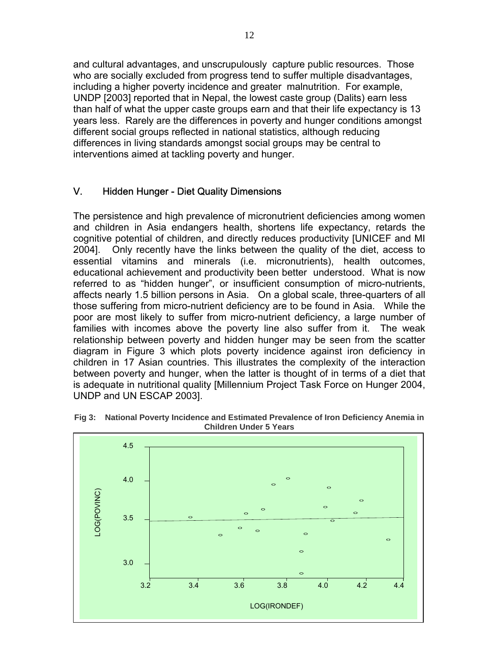and cultural advantages, and unscrupulously capture public resources. Those who are socially excluded from progress tend to suffer multiple disadvantages, including a higher poverty incidence and greater malnutrition. For example, UNDP [2003] reported that in Nepal, the lowest caste group (Dalits) earn less than half of what the upper caste groups earn and that their life expectancy is 13 years less. Rarely are the differences in poverty and hunger conditions amongst different social groups reflected in national statistics, although reducing differences in living standards amongst social groups may be central to interventions aimed at tackling poverty and hunger.

#### V. Hidden Hunger - Diet Quality Dimensions

The persistence and high prevalence of micronutrient deficiencies among women and children in Asia endangers health, shortens life expectancy, retards the cognitive potential of children, and directly reduces productivity [UNICEF and MI 2004]. Only recently have the links between the quality of the diet, access to essential vitamins and minerals (i.e. micronutrients), health outcomes, educational achievement and productivity been better understood. What is now referred to as "hidden hunger", or insufficient consumption of micro-nutrients, affects nearly 1.5 billion persons in Asia. On a global scale, three-quarters of all those suffering from micro-nutrient deficiency are to be found in Asia. While the poor are most likely to suffer from micro-nutrient deficiency, a large number of families with incomes above the poverty line also suffer from it. The weak relationship between poverty and hidden hunger may be seen from the scatter diagram in Figure 3 which plots poverty incidence against iron deficiency in children in 17 Asian countries. This illustrates the complexity of the interaction between poverty and hunger, when the latter is thought of in terms of a diet that is adequate in nutritional quality [Millennium Project Task Force on Hunger 2004, UNDP and UN ESCAP 2003].



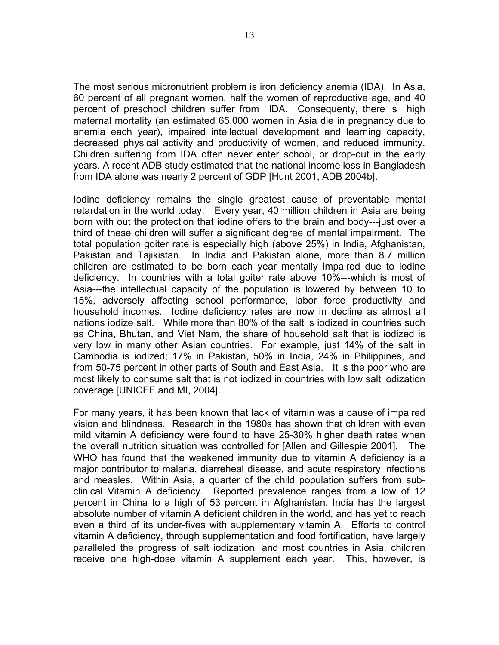The most serious micronutrient problem is iron deficiency anemia (IDA). In Asia, 60 percent of all pregnant women, half the women of reproductive age, and 40 percent of preschool children suffer from IDA. Consequenty, there is high maternal mortality (an estimated 65,000 women in Asia die in pregnancy due to anemia each year), impaired intellectual development and learning capacity, decreased physical activity and productivity of women, and reduced immunity. Children suffering from IDA often never enter school, or drop-out in the early years. A recent ADB study estimated that the national income loss in Bangladesh from IDA alone was nearly 2 percent of GDP [Hunt 2001, ADB 2004b].

Iodine deficiency remains the single greatest cause of preventable mental retardation in the world today. Every year, 40 million children in Asia are being born with out the protection that iodine offers to the brain and body---just over a third of these children will suffer a significant degree of mental impairment. The total population goiter rate is especially high (above 25%) in India, Afghanistan, Pakistan and Tajikistan. In India and Pakistan alone, more than 8.7 million children are estimated to be born each year mentally impaired due to iodine deficiency. In countries with a total goiter rate above 10%---which is most of Asia---the intellectual capacity of the population is lowered by between 10 to 15%, adversely affecting school performance, labor force productivity and household incomes. Iodine deficiency rates are now in decline as almost all nations iodize salt. While more than 80% of the salt is iodized in countries such as China, Bhutan, and Viet Nam, the share of household salt that is iodized is very low in many other Asian countries. For example, just 14% of the salt in Cambodia is iodized; 17% in Pakistan, 50% in India, 24% in Philippines, and from 50-75 percent in other parts of South and East Asia. It is the poor who are most likely to consume salt that is not iodized in countries with low salt iodization coverage [UNICEF and MI, 2004].

For many years, it has been known that lack of vitamin was a cause of impaired vision and blindness. Research in the 1980s has shown that children with even mild vitamin A deficiency were found to have 25-30% higher death rates when the overall nutrition situation was controlled for [Allen and Gillespie 2001]. The WHO has found that the weakened immunity due to vitamin A deficiency is a major contributor to malaria, diarreheal disease, and acute respiratory infections and measles. Within Asia, a quarter of the child population suffers from subclinical Vitamin A deficiency. Reported prevalence ranges from a low of 12 percent in China to a high of 53 percent in Afghanistan. India has the largest absolute number of vitamin A deficient children in the world, and has yet to reach even a third of its under-fives with supplementary vitamin A. Efforts to control vitamin A deficiency, through supplementation and food fortification, have largely paralleled the progress of salt iodization, and most countries in Asia, children receive one high-dose vitamin A supplement each year. This, however, is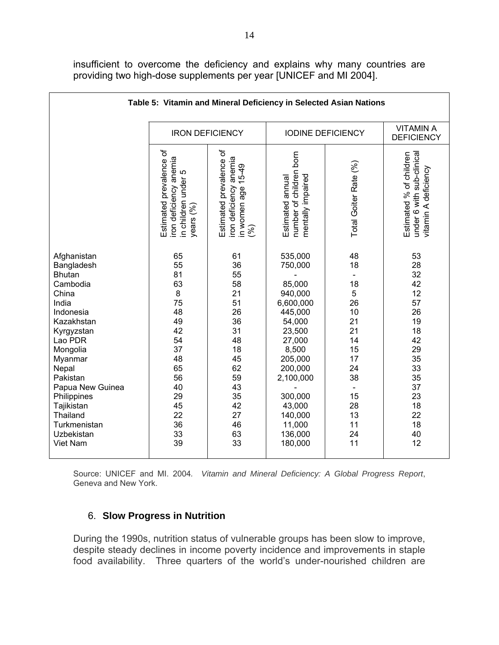insufficient to overcome the deficiency and explains why many countries are providing two high-dose supplements per year [UNICEF and MI 2004].

| Table 5: Vitamin and Mineral Deficiency in Selected Asian Nations                                                                                                                                                                                                               |                                                                                                                           |                                                                                                                            |                                                                                                                                                                                                           |                                                                                                               |                                                                                                                            |  |  |
|---------------------------------------------------------------------------------------------------------------------------------------------------------------------------------------------------------------------------------------------------------------------------------|---------------------------------------------------------------------------------------------------------------------------|----------------------------------------------------------------------------------------------------------------------------|-----------------------------------------------------------------------------------------------------------------------------------------------------------------------------------------------------------|---------------------------------------------------------------------------------------------------------------|----------------------------------------------------------------------------------------------------------------------------|--|--|
|                                                                                                                                                                                                                                                                                 |                                                                                                                           | <b>IRON DEFICIENCY</b>                                                                                                     | <b>IODINE DEFICIENCY</b>                                                                                                                                                                                  | <b>VITAMIN A</b><br><b>DEFICIENCY</b>                                                                         |                                                                                                                            |  |  |
|                                                                                                                                                                                                                                                                                 | Estimated prevalence of<br>iron deficiency anemia<br>in children under 5<br>in children under<br>years (%)                | Estimated prevalence of<br>anemia<br>$15-49$<br>iron deficiency<br>in women age 1<br>(%)                                   | born<br>number of children<br>mentally impaired<br>Estimated annual                                                                                                                                       | Total Goiter Rate (%)                                                                                         | Estimated % of children<br>under 6 with sub-clinical<br>vitamin A deficiency                                               |  |  |
| Afghanistan<br>Bangladesh<br><b>Bhutan</b><br>Cambodia<br>China<br>India<br>Indonesia<br>Kazakhstan<br>Kyrgyzstan<br>Lao PDR<br>Mongolia<br>Myanmar<br>Nepal<br>Pakistan<br>Papua New Guinea<br>Philippines<br>Tajikistan<br>Thailand<br>Turkmenistan<br>Uzbekistan<br>Viet Nam | 65<br>55<br>81<br>63<br>8<br>75<br>48<br>49<br>42<br>54<br>37<br>48<br>65<br>56<br>40<br>29<br>45<br>22<br>36<br>33<br>39 | 61<br>36<br>55<br>58<br>21<br>51<br>26<br>36<br>31<br>48<br>18<br>45<br>62<br>59<br>43<br>35<br>42<br>27<br>46<br>63<br>33 | 535,000<br>750,000<br>85,000<br>940,000<br>6,600,000<br>445,000<br>54,000<br>23,500<br>27,000<br>8,500<br>205,000<br>200,000<br>2,100,000<br>300,000<br>43,000<br>140,000<br>11,000<br>136,000<br>180,000 | 48<br>18<br>18<br>5<br>26<br>10<br>21<br>21<br>14<br>15<br>17<br>24<br>38<br>15<br>28<br>13<br>11<br>24<br>11 | 53<br>28<br>32<br>42<br>12<br>57<br>26<br>19<br>18<br>42<br>29<br>35<br>33<br>35<br>37<br>23<br>18<br>22<br>18<br>40<br>12 |  |  |

Source: UNICEF and MI. 2004*. Vitamin and Mineral Deficiency: A Global Progress Report*, Geneva and New York.

#### 6. **Slow Progress in Nutrition**

During the 1990s, nutrition status of vulnerable groups has been slow to improve, despite steady declines in income poverty incidence and improvements in staple food availability. Three quarters of the world's under-nourished children are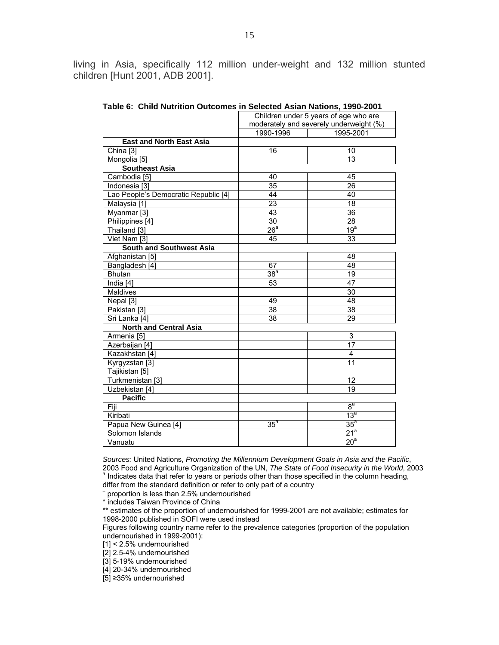living in Asia, specifically 112 million under-weight and 132 million stunted children [Hunt 2001, ADB 2001].

|                                      | Children under 5 years of age who are   |                 |  |
|--------------------------------------|-----------------------------------------|-----------------|--|
|                                      | moderately and severely underweight (%) |                 |  |
|                                      | 1990-1996                               | 1995-2001       |  |
| <b>East and North East Asia</b>      |                                         |                 |  |
| China <sup>[3]</sup>                 | 16                                      | 10              |  |
| Mongolia [5]                         |                                         | 13              |  |
| <b>Southeast Asia</b>                |                                         |                 |  |
| Cambodia [5]                         | 40                                      | 45              |  |
| Indonesia [3]                        | $\overline{35}$                         | $\overline{26}$ |  |
| Lao People's Democratic Republic [4] | 44                                      | 40              |  |
| Malaysia [1]                         | $\overline{23}$                         | 18              |  |
| Myanmar <sup>[3]</sup>               | 43                                      | $\overline{36}$ |  |
| Philippines [4]                      | 30                                      | $\overline{28}$ |  |
| Thailand [3]                         | 26 <sup>a</sup>                         | 19 <sup>a</sup> |  |
| Viet Nam [3]                         | 45                                      | 33              |  |
| <b>South and Southwest Asia</b>      |                                         |                 |  |
| Afghanistan [5]                      |                                         | 48              |  |
| Bangladesh [4]                       | 67                                      | 48              |  |
| <b>Bhutan</b>                        | 38 <sup>a</sup>                         | 19              |  |
| India [4]                            | 53                                      | 47              |  |
| <b>Maldives</b>                      |                                         | $\overline{30}$ |  |
| Nepal [3]                            | 49                                      | 48              |  |
| Pakistan [3]                         | 38                                      | 38              |  |
| Sri Lanka [4]                        | 38                                      | 29              |  |
| <b>North and Central Asia</b>        |                                         |                 |  |
| Armenia [5]                          |                                         | 3               |  |
| Azerbaijan [4]                       |                                         | 17              |  |
| Kazakhstan [4]                       |                                         | 4               |  |
| Kyrgyzstan [3]                       |                                         | 11              |  |
| Tajikistan [5]                       |                                         |                 |  |
| Turkmenistan [3]                     |                                         | 12              |  |
| Uzbekistan [4]                       |                                         | 19              |  |
| <b>Pacific</b>                       |                                         |                 |  |
| Fiji                                 |                                         | 8 <sup>a</sup>  |  |
| Kiribati                             |                                         | 13 <sup>a</sup> |  |
| Papua New Guinea [4]                 | 35 <sup>a</sup>                         | $35^a$          |  |
| Solomon Islands                      |                                         | 21 <sup>a</sup> |  |
| Vanuatu                              |                                         | 20 <sup>a</sup> |  |

**Table 6: Child Nutrition Outcomes in Selected Asian Nations, 1990-2001** 

*Sources:* United Nations, *Promoting the Millennium Development Goals in Asia and the Pacific*, 2003 Food and Agriculture Organization of the UN, *The State of Food Insecurity in the World*, 2003 a <sup>a</sup> Indicates data that refer to years or periods other than those specified in the column heading,

differ from the standard definition or refer to only part of a country −

proportion is less than 2.5% undernourished

\* includes Taiwan Province of China

\*\* estimates of the proportion of undernourished for 1999-2001 are not available; estimates for 1998-2000 published in SOFI were used instead

Figures following country name refer to the prevalence categories (proportion of the population undernourished in 1999-2001):

[1] < 2.5% undernourished

[2] 2.5-4% undernourished

[3] 5-19% undernourished

[4] 20-34% undernourished

[5] ≥35% undernourished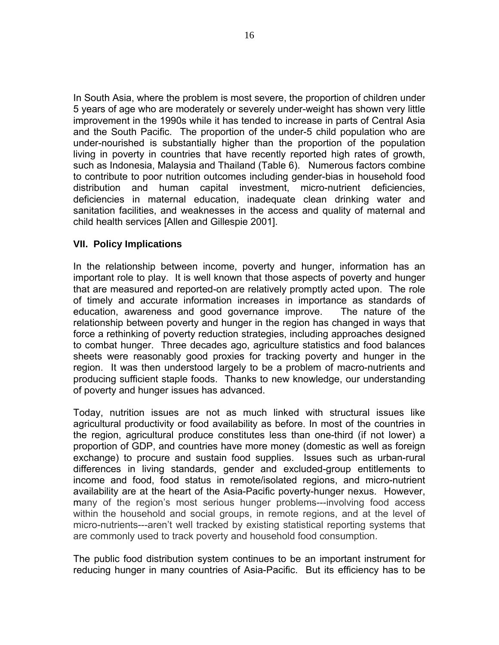In South Asia, where the problem is most severe, the proportion of children under 5 years of age who are moderately or severely under-weight has shown very little improvement in the 1990s while it has tended to increase in parts of Central Asia and the South Pacific. The proportion of the under-5 child population who are under-nourished is substantially higher than the proportion of the population living in poverty in countries that have recently reported high rates of growth, such as Indonesia, Malaysia and Thailand (Table 6). Numerous factors combine to contribute to poor nutrition outcomes including gender-bias in household food distribution and human capital investment, micro-nutrient deficiencies, deficiencies in maternal education, inadequate clean drinking water and sanitation facilities, and weaknesses in the access and quality of maternal and child health services [Allen and Gillespie 2001].

#### **VII. Policy Implications**

In the relationship between income, poverty and hunger, information has an important role to play. It is well known that those aspects of poverty and hunger that are measured and reported-on are relatively promptly acted upon. The role of timely and accurate information increases in importance as standards of education, awareness and good governance improve. The nature of the relationship between poverty and hunger in the region has changed in ways that force a rethinking of poverty reduction strategies, including approaches designed to combat hunger. Three decades ago, agriculture statistics and food balances sheets were reasonably good proxies for tracking poverty and hunger in the region. It was then understood largely to be a problem of macro-nutrients and producing sufficient staple foods. Thanks to new knowledge, our understanding of poverty and hunger issues has advanced.

Today, nutrition issues are not as much linked with structural issues like agricultural productivity or food availability as before. In most of the countries in the region, agricultural produce constitutes less than one-third (if not lower) a proportion of GDP, and countries have more money (domestic as well as foreign exchange) to procure and sustain food supplies. Issues such as urban-rural differences in living standards, gender and excluded-group entitlements to income and food, food status in remote/isolated regions, and micro-nutrient availability are at the heart of the Asia-Pacific poverty-hunger nexus. However, many of the region's most serious hunger problems---involving food access within the household and social groups, in remote regions, and at the level of micro-nutrients---aren't well tracked by existing statistical reporting systems that are commonly used to track poverty and household food consumption.

The public food distribution system continues to be an important instrument for reducing hunger in many countries of Asia-Pacific. But its efficiency has to be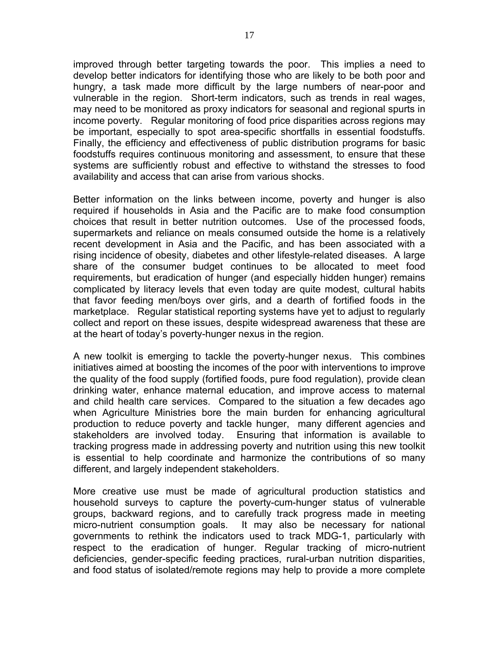improved through better targeting towards the poor. This implies a need to develop better indicators for identifying those who are likely to be both poor and hungry, a task made more difficult by the large numbers of near-poor and vulnerable in the region. Short-term indicators, such as trends in real wages, may need to be monitored as proxy indicators for seasonal and regional spurts in income poverty. Regular monitoring of food price disparities across regions may be important, especially to spot area-specific shortfalls in essential foodstuffs. Finally, the efficiency and effectiveness of public distribution programs for basic foodstuffs requires continuous monitoring and assessment, to ensure that these systems are sufficiently robust and effective to withstand the stresses to food availability and access that can arise from various shocks.

Better information on the links between income, poverty and hunger is also required if households in Asia and the Pacific are to make food consumption choices that result in better nutrition outcomes. Use of the processed foods, supermarkets and reliance on meals consumed outside the home is a relatively recent development in Asia and the Pacific, and has been associated with a rising incidence of obesity, diabetes and other lifestyle-related diseases. A large share of the consumer budget continues to be allocated to meet food requirements, but eradication of hunger (and especially hidden hunger) remains complicated by literacy levels that even today are quite modest, cultural habits that favor feeding men/boys over girls, and a dearth of fortified foods in the marketplace. Regular statistical reporting systems have yet to adjust to regularly collect and report on these issues, despite widespread awareness that these are at the heart of today's poverty-hunger nexus in the region.

A new toolkit is emerging to tackle the poverty-hunger nexus. This combines initiatives aimed at boosting the incomes of the poor with interventions to improve the quality of the food supply (fortified foods, pure food regulation), provide clean drinking water, enhance maternal education, and improve access to maternal and child health care services. Compared to the situation a few decades ago when Agriculture Ministries bore the main burden for enhancing agricultural production to reduce poverty and tackle hunger, many different agencies and stakeholders are involved today. Ensuring that information is available to tracking progress made in addressing poverty and nutrition using this new toolkit is essential to help coordinate and harmonize the contributions of so many different, and largely independent stakeholders.

More creative use must be made of agricultural production statistics and household surveys to capture the poverty-cum-hunger status of vulnerable groups, backward regions, and to carefully track progress made in meeting micro-nutrient consumption goals. It may also be necessary for national governments to rethink the indicators used to track MDG-1, particularly with respect to the eradication of hunger. Regular tracking of micro-nutrient deficiencies, gender-specific feeding practices, rural-urban nutrition disparities, and food status of isolated/remote regions may help to provide a more complete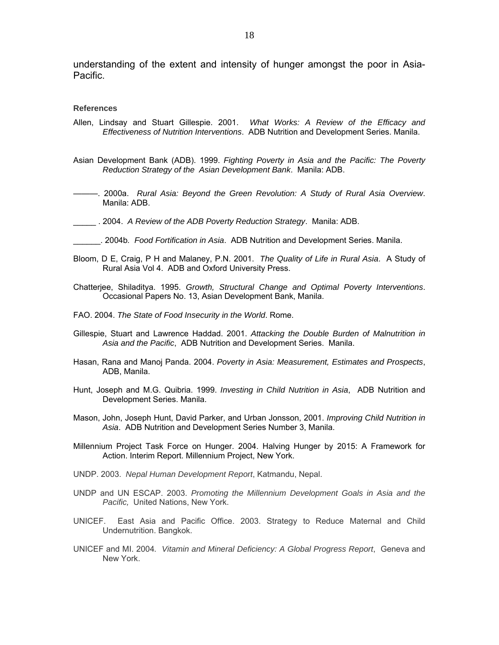understanding of the extent and intensity of hunger amongst the poor in Asia-Pacific.

#### **References**

- Allen, Lindsay and Stuart Gillespie. 2001. *What Works: A Review of the Efficacy and Effectiveness of Nutrition Interventions*. ADB Nutrition and Development Series. Manila.
- Asian Development Bank (ADB). 1999. *Fighting Poverty in Asia and the Pacific: The Poverty Reduction Strategy of the Asian Development Bank*. Manila: ADB.
- ———. 2000a. *Rural Asia: Beyond the Green Revolution: A Study of Rural Asia Overview*. Manila: ADB.
- \_\_\_\_\_ . 2004. *A Review of the ADB Poverty Reduction Strategy*. Manila: ADB.
- \_\_\_\_\_\_. 2004b*. Food Fortification in Asia*. ADB Nutrition and Development Series. Manila.
- Bloom, D E, Craig, P H and Malaney, P.N. 2001. *The Quality of Life in Rural Asia*. A Study of Rural Asia Vol 4. ADB and Oxford University Press.
- Chatterjee, Shiladitya. 1995. *Growth, Structural Change and Optimal Poverty Interventions*. Occasional Papers No. 13, Asian Development Bank, Manila.
- FAO. 2004. *The State of Food Insecurity in the World*. Rome.
- Gillespie, Stuart and Lawrence Haddad. 2001. *Attacking the Double Burden of Malnutrition in Asia and the Pacific*, ADB Nutrition and Development Series. Manila.
- Hasan, Rana and Manoj Panda. 2004. *Poverty in Asia: Measurement, Estimates and Prospects*, ADB, Manila.
- Hunt, Joseph and M.G. Quibria. 1999. *Investing in Child Nutrition in Asia*, ADB Nutrition and Development Series. Manila.
- Mason, John, Joseph Hunt, David Parker, and Urban Jonsson, 2001. *Improving Child Nutrition in Asia*. ADB Nutrition and Development Series Number 3, Manila.
- Millennium Project Task Force on Hunger. 2004. Halving Hunger by 2015: A Framework for Action. Interim Report. Millennium Project, New York.
- UNDP. 2003. *Nepal Human Development Report*, Katmandu, Nepal.
- UNDP and UN ESCAP. 2003. *Promoting the Millennium Development Goals in Asia and the Pacific,* United Nations, New York.
- UNICEF. East Asia and Pacific Office. 2003. Strategy to Reduce Maternal and Child Undernutrition. Bangkok.
- UNICEF and MI. 2004*. Vitamin and Mineral Deficiency: A Global Progress Report*, Geneva and New York.